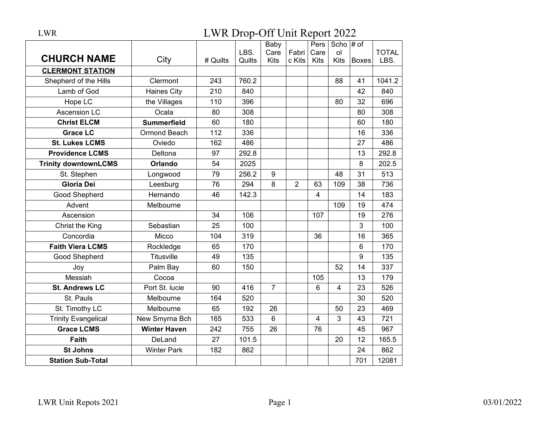|                             |                     |          |                | Baby                |                 | Pers                | Scho $#$ of       |              |                      |
|-----------------------------|---------------------|----------|----------------|---------------------|-----------------|---------------------|-------------------|--------------|----------------------|
| <b>CHURCH NAME</b>          | City                | # Quilts | LBS.<br>Quilts | Care<br><b>Kits</b> | Fabri<br>c Kits | Care<br><b>Kits</b> | ol<br><b>Kits</b> | <b>Boxes</b> | <b>TOTAL</b><br>LBS. |
| <b>CLERMONT STATION</b>     |                     |          |                |                     |                 |                     |                   |              |                      |
| Shepherd of the Hills       | Clermont            | 243      | 760.2          |                     |                 |                     | 88                | 41           | 1041.2               |
| Lamb of God                 | <b>Haines City</b>  | 210      | 840            |                     |                 |                     |                   | 42           | 840                  |
| Hope LC                     | the Villages        | 110      | 396            |                     |                 |                     | 80                | 32           | 696                  |
| <b>Ascension LC</b>         | Ocala               | 80       | 308            |                     |                 |                     |                   | 80           | 308                  |
| <b>Christ ELCM</b>          | <b>Summerfield</b>  | 60       | 180            |                     |                 |                     |                   | 60           | 180                  |
| <b>Grace LC</b>             | Ormond Beach        | 112      | 336            |                     |                 |                     |                   | 16           | 336                  |
| <b>St. Lukes LCMS</b>       | Oviedo              | 162      | 486            |                     |                 |                     |                   | 27           | 486                  |
| <b>Providence LCMS</b>      | Deltona             | 97       | 292.8          |                     |                 |                     |                   | 13           | 292.8                |
| <b>Trinity downtownLCMS</b> | <b>Orlando</b>      | 54       | 2025           |                     |                 |                     |                   | 8            | 202.5                |
| St. Stephen                 | Longwood            | 79       | 256.2          | $\boldsymbol{9}$    |                 |                     | 48                | 31           | 513                  |
| Gloria Dei                  | Leesburg            | 76       | 294            | 8                   | $\overline{2}$  | 63                  | 109               | 38           | 736                  |
| Good Shepherd               | Hernando            | 46       | 142.3          |                     |                 | 4                   |                   | 14           | 183                  |
| Advent                      | Melbourne           |          |                |                     |                 |                     | 109               | 19           | 474                  |
| Ascension                   |                     | 34       | 106            |                     |                 | 107                 |                   | 19           | 276                  |
| Christ the King             | Sebastian           | 25       | 100            |                     |                 |                     |                   | 3            | 100                  |
| Concordia                   | Micco               | 104      | 319            |                     |                 | 36                  |                   | 16           | 365                  |
| <b>Faith Viera LCMS</b>     | Rockledge           | 65       | 170            |                     |                 |                     |                   | 6            | 170                  |
| Good Shepherd               | <b>Titusville</b>   | 49       | 135            |                     |                 |                     |                   | 9            | 135                  |
| Joy                         | Palm Bay            | 60       | 150            |                     |                 |                     | 52                | 14           | 337                  |
| Messiah                     | Cocoa               |          |                |                     |                 | 105                 |                   | 13           | 179                  |
| <b>St. Andrews LC</b>       | Port St. lucie      | 90       | 416            | $\overline{7}$      |                 | 6                   | $\overline{4}$    | 23           | 526                  |
| St. Pauls                   | Melbourne           | 164      | 520            |                     |                 |                     |                   | 30           | 520                  |
| St. Timothy LC              | Melbourne           | 65       | 192            | 26                  |                 |                     | 50                | 23           | 469                  |
| <b>Trinity Evangelical</b>  | New Smyrna Bch      | 165      | 533            | $6\phantom{1}$      |                 | 4                   | 3                 | 43           | 721                  |
| <b>Grace LCMS</b>           | <b>Winter Haven</b> | 242      | 755            | 26                  |                 | 76                  |                   | 45           | 967                  |
| <b>Faith</b>                | DeLand              | 27       | 101.5          |                     |                 |                     | 20                | 12           | 165.5                |
| <b>St Johns</b>             | <b>Winter Park</b>  | 182      | 862            |                     |                 |                     |                   | 24           | 862                  |
| <b>Station Sub-Total</b>    |                     |          |                |                     |                 |                     |                   | 701          | 12081                |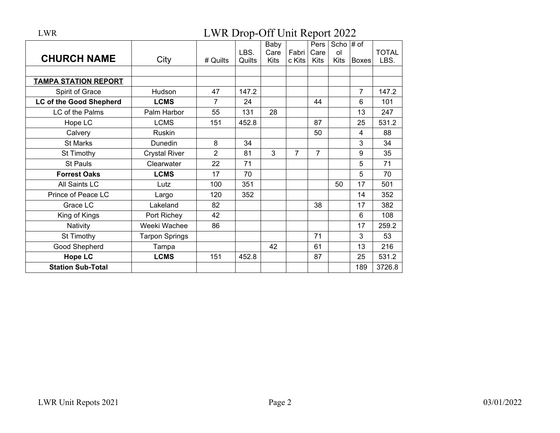| <b>CHURCH NAME</b>             | City                  | # Quilts       | LBS.<br>Quilts | Baby<br>Care<br><b>Kits</b> | Fabri<br>c Kits | Pers<br>Care<br>Kits | Scho $#$ of<br>ol<br>Kits | <b>Boxes</b>   | <b>TOTAL</b><br>LBS. |
|--------------------------------|-----------------------|----------------|----------------|-----------------------------|-----------------|----------------------|---------------------------|----------------|----------------------|
|                                |                       |                |                |                             |                 |                      |                           |                |                      |
| <b>TAMPA STATION REPORT</b>    |                       |                |                |                             |                 |                      |                           |                |                      |
| Spirit of Grace                | Hudson                | 47             | 147.2          |                             |                 |                      |                           | $\overline{7}$ | 147.2                |
| <b>LC of the Good Shepherd</b> | <b>LCMS</b>           | 7              | 24             |                             |                 | 44                   |                           | 6              | 101                  |
| LC of the Palms                | Palm Harbor           | 55             | 131            | 28                          |                 |                      |                           | 13             | 247                  |
| Hope LC                        | <b>LCMS</b>           | 151            | 452.8          |                             |                 | 87                   |                           | 25             | 531.2                |
| Calvery                        | Ruskin                |                |                |                             |                 | 50                   |                           | $\overline{4}$ | 88                   |
| <b>St Marks</b>                | Dunedin               | 8              | 34             |                             |                 |                      |                           | 3              | 34                   |
| St Timothy                     | <b>Crystal River</b>  | $\overline{2}$ | 81             | 3                           | 7               | $\overline{7}$       |                           | 9              | 35                   |
| <b>St Pauls</b>                | Clearwater            | 22             | 71             |                             |                 |                      |                           | 5              | 71                   |
| <b>Forrest Oaks</b>            | <b>LCMS</b>           | 17             | 70             |                             |                 |                      |                           | 5              | 70                   |
| All Saints LC                  | Lutz                  | 100            | 351            |                             |                 |                      | 50                        | 17             | 501                  |
| Prince of Peace LC             | Largo                 | 120            | 352            |                             |                 |                      |                           | 14             | 352                  |
| Grace LC                       | Lakeland              | 82             |                |                             |                 | 38                   |                           | 17             | 382                  |
| King of Kings                  | Port Richey           | 42             |                |                             |                 |                      |                           | 6              | 108                  |
| Nativity                       | Weeki Wachee          | 86             |                |                             |                 |                      |                           | 17             | 259.2                |
| St Timothy                     | <b>Tarpon Springs</b> |                |                |                             |                 | 71                   |                           | 3              | 53                   |
| Good Shepherd                  | Tampa                 |                |                | 42                          |                 | 61                   |                           | 13             | 216                  |
| <b>Hope LC</b>                 | <b>LCMS</b>           | 151            | 452.8          |                             |                 | 87                   |                           | 25             | 531.2                |
| <b>Station Sub-Total</b>       |                       |                |                |                             |                 |                      |                           | 189            | 3726.8               |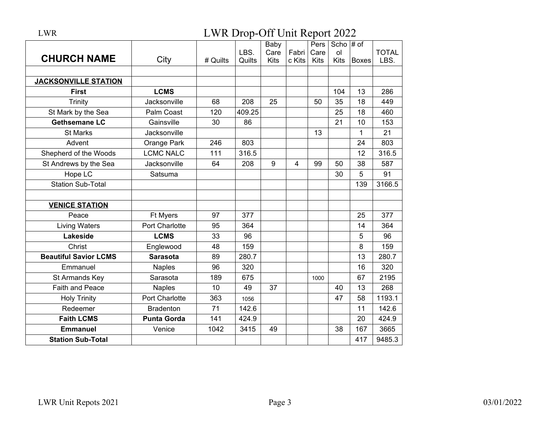|                              |                    | Baby     |        |      |                | Pers | Scho # of |              |              |
|------------------------------|--------------------|----------|--------|------|----------------|------|-----------|--------------|--------------|
|                              |                    |          | LBS.   | Care | Fabri          | Care | ol        |              | <b>TOTAL</b> |
| <b>CHURCH NAME</b>           | City               | # Quilts | Quilts | Kits | c Kits         | Kits | Kits      | <b>Boxes</b> | LBS.         |
|                              |                    |          |        |      |                |      |           |              |              |
| <b>JACKSONVILLE STATION</b>  |                    |          |        |      |                |      |           |              |              |
| <b>First</b>                 | <b>LCMS</b>        |          |        |      |                |      | 104       | 13           | 286          |
| Trinity                      | Jacksonville       | 68       | 208    | 25   |                | 50   | 35        | 18           | 449          |
| St Mark by the Sea           | Palm Coast         | 120      | 409.25 |      |                |      | 25        | 18           | 460          |
| <b>Gethsemane LC</b>         | Gainsville         | 30       | 86     |      |                |      | 21        | 10           | 153          |
| <b>St Marks</b>              | Jacksonville       |          |        |      |                | 13   |           | $\mathbf{1}$ | 21           |
| Advent                       | Orange Park        | 246      | 803    |      |                |      |           | 24           | 803          |
| Shepherd of the Woods        | <b>LCMC NALC</b>   | 111      | 316.5  |      |                |      |           | 12           | 316.5        |
| St Andrews by the Sea        | Jacksonville       | 64       | 208    | 9    | $\overline{4}$ | 99   | 50        | 38           | 587          |
| Hope LC                      | Satsuma            |          |        |      |                |      | 30        | 5            | 91           |
| <b>Station Sub-Total</b>     |                    |          |        |      |                |      |           | 139          | 3166.5       |
|                              |                    |          |        |      |                |      |           |              |              |
| <b>VENICE STATION</b>        |                    |          |        |      |                |      |           |              |              |
| Peace                        | Ft Myers           | 97       | 377    |      |                |      |           | 25           | 377          |
| <b>Living Waters</b>         | Port Charlotte     | 95       | 364    |      |                |      |           | 14           | 364          |
| Lakeside                     | <b>LCMS</b>        | 33       | 96     |      |                |      |           | 5            | 96           |
| Christ                       | Englewood          | 48       | 159    |      |                |      |           | 8            | 159          |
| <b>Beautiful Savior LCMS</b> | <b>Sarasota</b>    | 89       | 280.7  |      |                |      |           | 13           | 280.7        |
| Emmanuel                     | <b>Naples</b>      | 96       | 320    |      |                |      |           | 16           | 320          |
| St Armands Key               | Sarasota           | 189      | 675    |      |                | 1000 |           | 67           | 2195         |
| <b>Faith and Peace</b>       | <b>Naples</b>      | 10       | 49     | 37   |                |      | 40        | 13           | 268          |
| <b>Holy Trinity</b>          | Port Charlotte     | 363      | 1056   |      |                |      | 47        | 58           | 1193.1       |
| Redeemer                     | <b>Bradenton</b>   | 71       | 142.6  |      |                |      |           | 11           | 142.6        |
| <b>Faith LCMS</b>            | <b>Punta Gorda</b> | 141      | 424.9  |      |                |      |           | 20           | 424.9        |
| <b>Emmanuel</b>              | Venice             | 1042     | 3415   | 49   |                |      | 38        | 167          | 3665         |
| <b>Station Sub-Total</b>     |                    |          |        |      |                |      |           | 417          | 9485.3       |